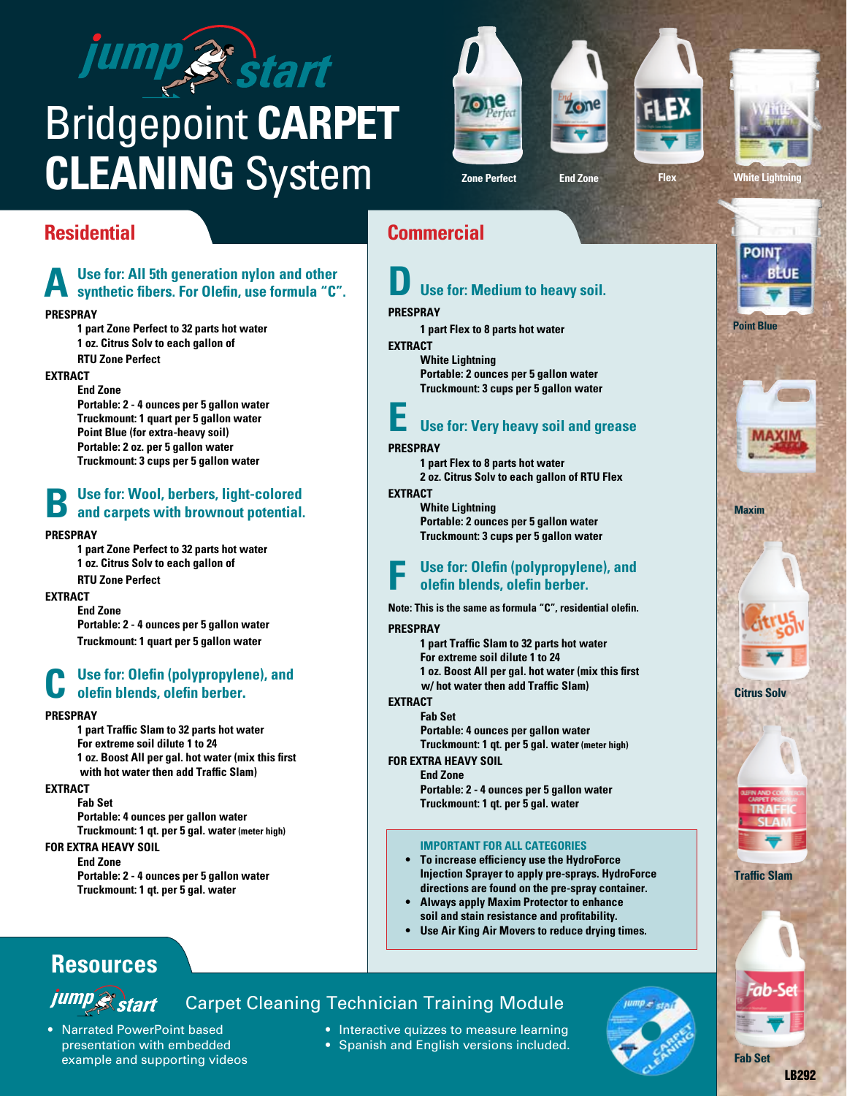# ump & start

## Bridgepoint **CARPET CLEANING** System

Use for: All 5th generation nylon and other<br>synthetic fibers. For Olefin, use formula "C".

**1 part Zone Perfect to 32 parts hot water 1 oz. Citrus Solv to each gallon of**

**Portable: 2 - 4 ounces per 5 gallon water Truckmount: 1 quart per 5 gallon water Point Blue (for extra-heavy soil) Portable: 2 oz. per 5 gallon water Truckmount: 3 cups per 5 gallon water**

**Use for: Wool, berbers, light-colored and carpets with brownout potential.** 

**1 part Zone Perfect to 32 parts hot water 1 oz. Citrus Solv to each gallon of**

**Portable: 2 - 4 ounces per 5 gallon water Truckmount: 1 quart per 5 gallon water**

**Use for: Olefin (polypropylene), and olefin blends, olefin berber.** 

**1 oz. Boost All per gal. hot water (mix this first with hot water then add Traffic Slam)**

**1 part Traffic Slam to 32 parts hot water**

**Portable: 4 ounces per gallon water Truckmount: 1 qt. per 5 gal. water (meter high)**

**Portable: 2 - 4 ounces per 5 gallon water Truckmount: 1 qt. per 5 gal. water**

**For extreme soil dilute 1 to 24**

**Prespray**

**Extract**

**Prespray**

**Extract**

**Prespray**

**Extract**

**Fab Set**

**For Extra Heavy Soil End Zone**

**RTU Zone Perfect**

**RTU Zone Perfect**

**End Zone**

**End Zone**









**Zone Perfect End Zone Flex White Lightning**

## **Residential Commercial**

## **D Use for: Medium to heavy soil.**

#### **Prespray**

**1 part Flex to 8 parts hot water**

**EXTRACT** 

**White Lightning Portable: 2 ounces per 5 gallon water Truckmount: 3 cups per 5 gallon water**

## **E Use for: Very heavy soil and grease**

#### **Prespray**

**1 part Flex to 8 parts hot water 2 oz. Citrus Solv to each gallon of RTU Flex Extract**

**White Lightning Portable: 2 ounces per 5 gallon water Truckmount: 3 cups per 5 gallon water**

## Use for: Olefin (polypropylene), and **olefin blends, olefin** berber.

**Note: This is the same as formula "C", residential olefin.**

#### **Prespray**

**1 part Traffic Slam to 32 parts hot water For extreme soil dilute 1 to 24 1 oz. Boost All per gal. hot water (mix this first w/ hot water then add Traffic Slam)**

#### **EXTRACT**

**Fab Set Portable: 4 ounces per gallon water Truckmount: 1 qt. per 5 gal. water (meter high)**

#### **For Extra Heavy Soil**

**End Zone Portable: 2 - 4 ounces per 5 gallon water Truckmount: 1 qt. per 5 gal. water**

#### **IMPORTANT for all categories**

- **• To increase efficiency use the HydroForce Injection Sprayer to apply pre-sprays. HydroForce directions are found on the pre-spray container.**
- **Always apply Maxim Protector to enhance soil and stain resistance and profitability.**
- **• Use Air King Air Movers to reduce drying times.**

## **Resources**

## jump<sup>2</sup>start Carpet Cleaning Technician Training Module

#### • Narrated PowerPoint based presentation with embedded example and supporting videos

- Interactive quizzes to measure learning
- Spanish and English versions included.





**Fab Set**

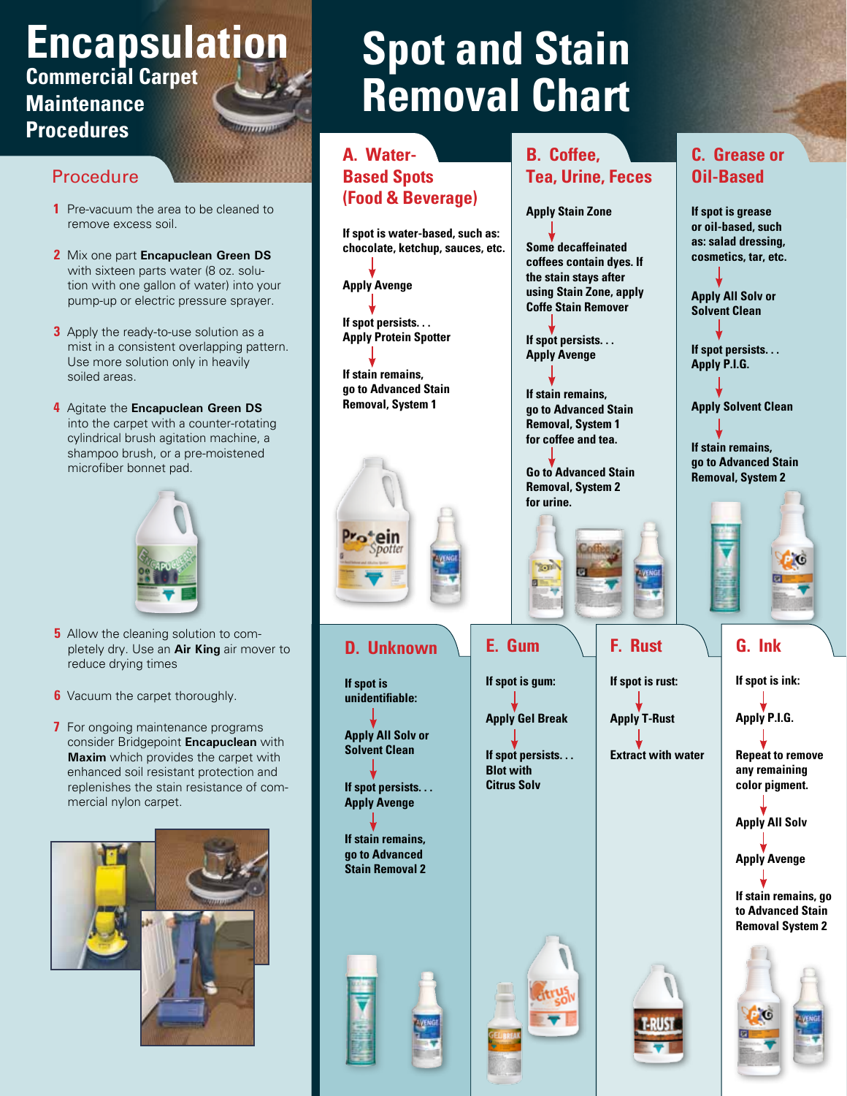## **Encapsulation Commercial Carpet Maintenance Procedures**

### Procedure

- **1** Pre-vacuum the area to be cleaned to remove excess soil.
- **2** Mix one part **Encapuclean Green DS** with sixteen parts water (8 oz. solution with one gallon of water) into your pump-up or electric pressure sprayer.
- **3** Apply the ready-to-use solution as a mist in a consistent overlapping pattern. Use more solution only in heavily soiled areas.
- **4** Agitate the **Encapuclean Green DS** into the carpet with a counter-rotating cylindrical brush agitation machine, a shampoo brush, or a pre-moistened microfiber bonnet pad.



- **5** Allow the cleaning solution to completely dry. Use an **Air King** air mover to reduce drying times
- **6** Vacuum the carpet thoroughly.
- **7** For ongoing maintenance programs consider Bridgepoint **Encapuclean** with **Maxim** which provides the carpet with enhanced soil resistant protection and replenishes the stain resistance of commercial nylon carpet.



## **Spot and Stain Removal Chart**

#### **A. Water-B. Coffee, C. Grease or Based Spots Tea, Urine, Feces Oil-Based (Food & Beverage) Apply Stain Zone If spot is grease or oil-based, such If spot is water-based, such as: as: salad dressing, Some decaffeinated chocolate, ketchup, sauces, etc. cosmetics, tar, etc. coffees contain dyes. If the stain stays after Apply Avenge using Stain Zone, apply Apply All Solv or Coffe Stain Remover Solvent Clean If spot persists. . . Apply Protein Spotter If spot persists. . . If spot persists. . . Apply Avenge Apply P.I.G. If stain remains, go to Advanced Stain If stain remains, Removal, System 1 Apply Solvent Clean go to Advanced Stain Removal, System 1 for coffee and tea. If stain remains, go to Advanced Stain Go to Advanced Stain Removal, System 2Removal, System 2 for urine. Sept G. Ink E. Gum F. Rust D. Unknown If spot is rust: If spot is ink: If spot is gum: If spot is unidentifiable: Apply Gel Break Apply T-Rust Apply P.I.G. Apply All Solv or Solvent Clean Extract with water If spot persists. . . Repeat to remove Blot with any remaining color pigment. Citrus Solv If spot persists. . . Apply Avenge Apply All Solv If stain remains, go to Advanced Apply Avenge Stain Removal 2 If stain remains, go to Advanced Stain Removal System 2**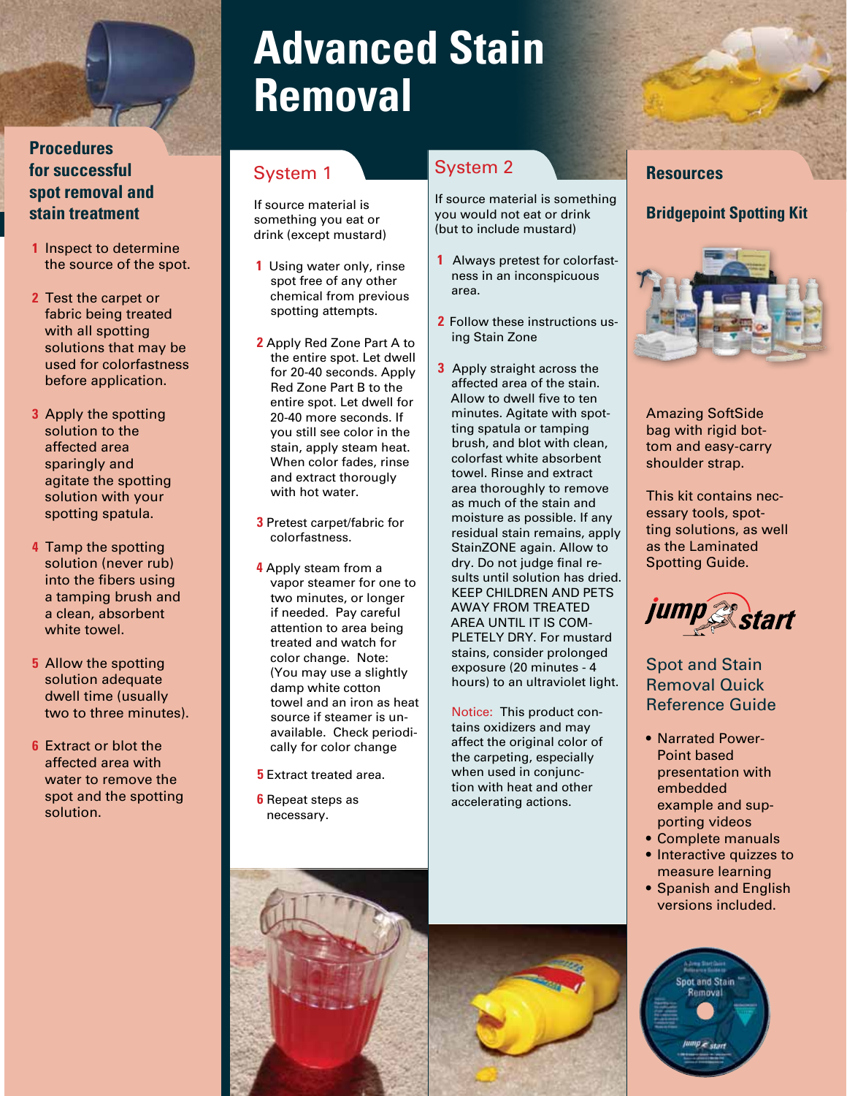### **Procedures for successful spot removal and stain treatment**

- **1** Inspect to determine the source of the spot.
- **2** Test the carpet or fabric being treated with all spotting solutions that may be used for colorfastness before application.
- **3** Apply the spotting solution to the affected area sparingly and agitate the spotting solution with your spotting spatula.
- **4** Tamp the spotting solution (never rub) into the fibers using a tamping brush and a clean, absorbent white towel.
- **5** Allow the spotting solution adequate dwell time (usually two to three minutes).
- **6** Extract or blot the affected area with water to remove the spot and the spotting solution.

## **Advanced Stain Removal**

## System 1

If source material is something you eat or drink (except mustard)

- **1** Using water only, rinse spot free of any other chemical from previous spotting attempts.
- **2** Apply Red Zone Part A to the entire spot. Let dwell for 20-40 seconds. Apply Red Zone Part B to the entire spot. Let dwell for 20-40 more seconds. If you still see color in the stain, apply steam heat. When color fades, rinse and extract thorougly with hot water.
- **3** Pretest carpet/fabric for colorfastness.
- **4** Apply steam from a vapor steamer for one to two minutes, or longer if needed. Pay careful attention to area being treated and watch for color change. Note: (You may use a slightly damp white cotton towel and an iron as heat source if steamer is unavailable. Check periodically for color change
- **5** Extract treated area.
- **6** Repeat steps as necessary.

## System 2

If source material is something you would not eat or drink (but to include mustard)

- **1** Always pretest for colorfastness in an inconspicuous area.
- **2** Follow these instructions using Stain Zone
- **3** Apply straight across the affected area of the stain. Allow to dwell five to ten minutes. Agitate with spotting spatula or tamping brush, and blot with clean, colorfast white absorbent towel. Rinse and extract area thoroughly to remove as much of the stain and moisture as possible. If any residual stain remains, apply StainZONE again. Allow to dry. Do not judge final results until solution has dried. KEEP CHILDREN AND PETS AWAY FROM TREATED AREA UNTIL IT IS COM-PLETELY DRY. For mustard stains, consider prolonged exposure (20 minutes - 4 hours) to an ultraviolet light.

Notice: This product contains oxidizers and may affect the original color of the carpeting, especially when used in conjunction with heat and other accelerating actions.

### **Resources**

### **Bridgepoint Spotting Kit**



Amazing SoftSide bag with rigid bottom and easy-carry shoulder strap.

This kit contains necessary tools, spotting solutions, as well as the Laminated Spotting Guide.



Spot and Stain Removal Quick Reference Guide

- Narrated Power-Point based presentation with embedded example and supporting videos
- • Complete manuals
- Interactive quizzes to measure learning
- Spanish and English versions included.